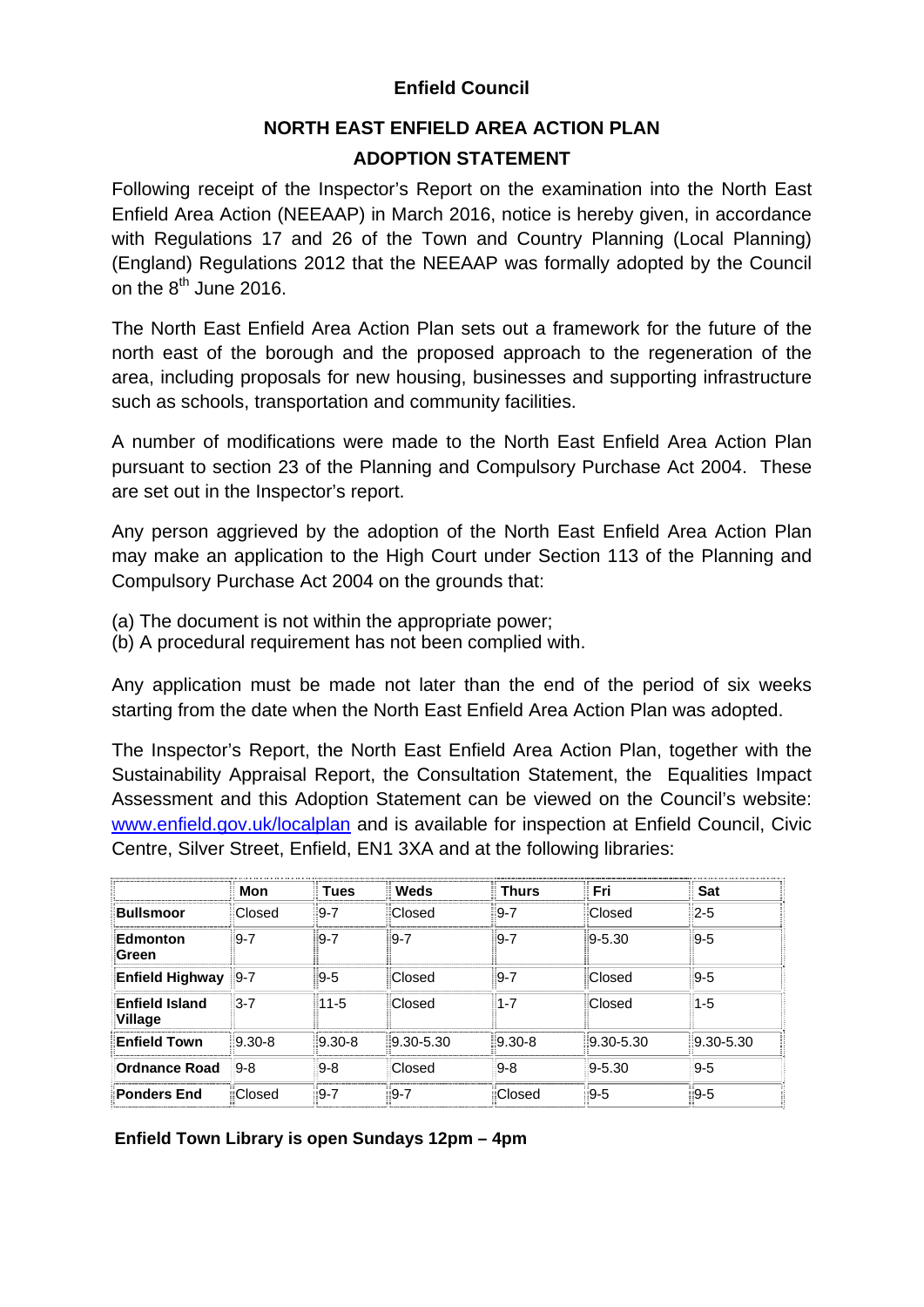## **Enfield Council**

## **NORTH EAST ENFIELD AREA ACTION PLAN ADOPTION STATEMENT**

Following receipt of the Inspector's Report on the examination into the North East Enfield Area Action (NEEAAP) in March 2016, notice is hereby given, in accordance with Regulations 17 and 26 of the Town and Country Planning (Local Planning) (England) Regulations 2012 that the NEEAAP was formally adopted by the Council on the  $8<sup>th</sup>$  June 2016.

The North East Enfield Area Action Plan sets out a framework for the future of the north east of the borough and the proposed approach to the regeneration of the area, including proposals for new housing, businesses and supporting infrastructure such as schools, transportation and community facilities.

A number of modifications were made to the North East Enfield Area Action Plan pursuant to section 23 of the Planning and Compulsory Purchase Act 2004. These are set out in the Inspector's report.

Any person aggrieved by the adoption of the North East Enfield Area Action Plan may make an application to the High Court under Section 113 of the Planning and Compulsory Purchase Act 2004 on the grounds that:

- (a) The document is not within the appropriate power;
- (b) A procedural requirement has not been complied with.

Any application must be made not later than the end of the period of six weeks starting from the date when the North East Enfield Area Action Plan was adopted.

The Inspector's Report, the North East Enfield Area Action Plan, together with the Sustainability Appraisal Report, the Consultation Statement, the Equalities Impact Assessment and this Adoption Statement can be viewed on the Council's website: www.enfield.gov.uk/localplan and is available for inspection at Enfield Council, Civic Centre, Silver Street, Enfield, EN1 3XA and at the following libraries:

|                                  | Mon        | <b>Tues</b> | ∥ Weds          | <b>Thurs</b> | <b>Fri</b>    | <b>Sat</b>      |
|----------------------------------|------------|-------------|-----------------|--------------|---------------|-----------------|
| <b>Bullsmoor</b>                 | Closed     | $9 - 7$     | Closed          | $9 - 7$      | Closed        | $2 - 5$         |
| Edmonton<br>Green                | $9 - 7$    | 9-7         | $9 - 7$         | $9 - 7$      | $9 - 5.30$    | $9 - 5$         |
| <b>Enfield Highway</b>           | $9 - 7$    | 9-5         | Closed          | $9 - 7$      | Closed        | $9 - 5$         |
| <b>Enfield Island</b><br>Village | $3 - 7$    | $11 - 5$    | Closed          | $1 - 7$      | Closed        | $1 - 5$         |
| <b>Enfield Town</b>              | $9.30 - 8$ | $9.30 - 8$  | $ 9.30 - 5.30 $ | $9.30 - 8$   | $9.30 - 5.30$ | $ 9.30 - 5.30 $ |
| Ordnance Road                    | $9 - 8$    | $9-8$       | Closed          | $9 - 8$      | $9 - 5.30$    | $9 - 5$         |
| <b>Ponders End</b>               | Closed     | $9 - 7$     | -9-7            | Closed       | $9 - 5$       | 9-5             |

**Enfield Town Library is open Sundays 12pm – 4pm**